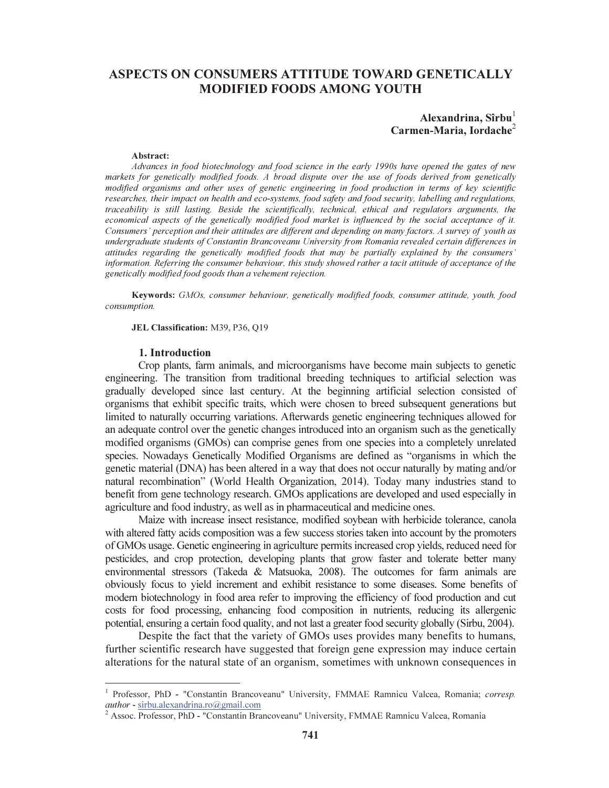# ASPECTS ON CONSUMERS ATTITUDE TOWARD GENETICALLY MODIFIED FOODS AMONG YOUTH

# Alexandrina,  $Sîrbu<sup>1</sup>$ Carmen-Maria, Iordache<sup>2</sup>

#### Abstract:

Advances in food biotechnology and food science in the early 1990s have opened the gates of new markets for genetically modified foods. A broad dispute over the use of foods derived from genetically modified organisms and other uses of genetic engineering in food production in terms of key scientific researches, their impact on health and eco-systems, food safety and food security, labelling and regulations, traceability is still lasting. Beside the scientifically, technical, ethical and regulators arguments, the economical aspects of the genetically modified food market is influenced by the social acceptance of it. Consumers' perception and their attitudes are different and depending on many factors. A survey of youth as undergraduate students of Constantin Brancoveanu University from Romania revealed certain differences in attitudes regarding the genetically modified foods that may be partially explained by the consumers' information. Referring the consumer behaviour, this study showed rather a tacit attitude of acceptance of the genetically modified food goods than a vehement rejection.

Keywords: GMOs, consumer behaviour, genetically modified foods, consumer attitude, youth, food consumption.

JEL Classification: M39, P36, Q19

#### 1. Introduction

Crop plants, farm animals, and microorganisms have become main subjects to genetic engineering. The transition from traditional breeding techniques to artificial selection was gradually developed since last century. At the beginning artificial selection consisted of organisms that exhibit specific traits, which were chosen to breed subsequent generations but limited to naturally occurring variations. Afterwards genetic engineering techniques allowed for an adequate control over the genetic changes introduced into an organism such as the genetically modified organisms (GMOs) can comprise genes from one species into a completely unrelated species. Nowadays Genetically Modified Organisms are defined as "organisms in which the genetic material (DNA) has been altered in a way that does not occur naturally by mating and/or natural recombination" (World Health Organization, 2014). Today many industries stand to benefit from gene technology research. GMOs applications are developed and used especially in agriculture and food industry, as well as in pharmaceutical and medicine ones.

Maize with increase insect resistance, modified soybean with herbicide tolerance, canola with altered fatty acids composition was a few success stories taken into account by the promoters of GMOs usage. Genetic engineering in agriculture permits increased crop yields, reduced need for pesticides, and crop protection, developing plants that grow faster and tolerate better many environmental stressors (Takeda & Matsuoka, 2008). The outcomes for farm animals are obviously focus to yield increment and exhibit resistance to some diseases. Some benefits of modern biotechnology in food area refer to improving the efficiency of food production and cut costs for food processing, enhancing food composition in nutrients, reducing its allergenic potential, ensuring a certain food quality, and not last a greater food security globally (Sirbu, 2004).

Despite the fact that the variety of GMOs uses provides many benefits to humans, further scientific research have suggested that foreign gene expression may induce certain alterations for the natural state of an organism, sometimes with unknown consequences in

<sup>&</sup>lt;sup>1</sup> Professor, PhD - "Constantin Brancoveanu" University, FMMAE Ramnicu Valcea, Romania; corresp. author - sirbu.alexandrina.ro@gmail.com

Assoc. Professor, PhD - "Constantin Brancoveanu" University, FMMAE Ramnicu Valcea, Romania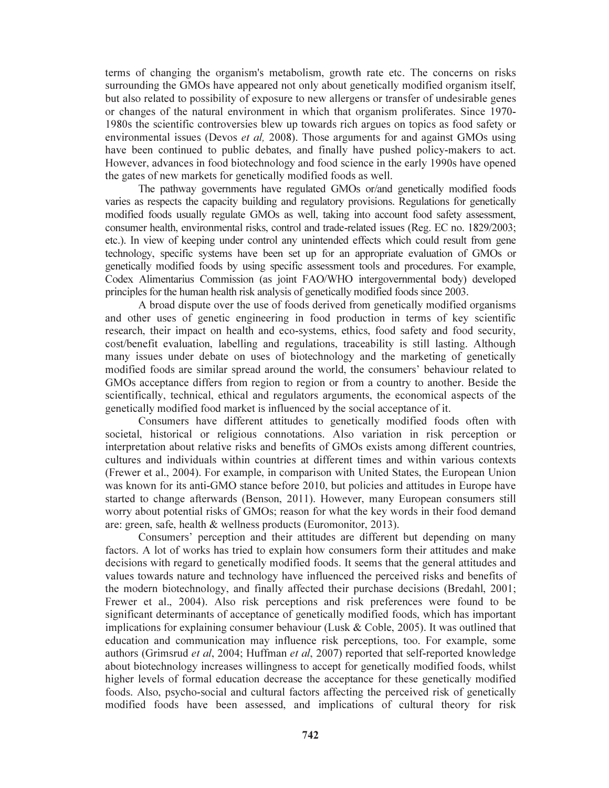terms of changing the organism's metabolism, growth rate etc. The concerns on risks surrounding the GMOs have appeared not only about genetically modified organism itself, but also related to possibility of exposure to new allergens or transfer of undesirable genes or changes of the natural environment in which that organism proliferates. Since 1970- 1980s the scientific controversies blew up towards rich argues on topics as food safety or environmental issues (Devos *et al.* 2008). Those arguments for and against GMOs using have been continued to public debates, and finally have pushed policy-makers to act. However, advances in food biotechnology and food science in the early 1990s have opened the gates of new markets for genetically modified foods as well.

The pathway governments have regulated GMOs or/and genetically modified foods varies as respects the capacity building and regulatory provisions. Regulations for genetically modified foods usually regulate GMOs as well, taking into account food safety assessment, consumer health, environmental risks, control and trade-related issues (Reg. EC no. 1829/2003; etc.). In view of keeping under control any unintended effects which could result from gene technology, specific systems have been set up for an appropriate evaluation of GMOs or genetically modified foods by using specific assessment tools and procedures. For example, Codex Alimentarius Commission (as joint FAO/WHO intergovernmental body) developed principles for the human health risk analysis of genetically modified foods since 2003.

A broad dispute over the use of foods derived from genetically modified organisms and other uses of genetic engineering in food production in terms of key scientific research, their impact on health and eco-systems, ethics, food safety and food security, cost/benefit evaluation, labelling and regulations, traceability is still lasting. Although many issues under debate on uses of biotechnology and the marketing of genetically modified foods are similar spread around the world, the consumers' behaviour related to GMOs acceptance differs from region to region or from a country to another. Beside the scientifically, technical, ethical and regulators arguments, the economical aspects of the genetically modified food market is influenced by the social acceptance of it.

Consumers have different attitudes to genetically modified foods often with societal, historical or religious connotations. Also variation in risk perception or interpretation about relative risks and benefits of GMOs exists among different countries, cultures and individuals within countries at different times and within various contexts (Frewer et al., 2004). For example, in comparison with United States, the European Union was known for its anti-GMO stance before 2010, but policies and attitudes in Europe have started to change afterwards (Benson, 2011). However, many European consumers still worry about potential risks of GMOs; reason for what the key words in their food demand are: green, safe, health & wellness products (Euromonitor, 2013).

Consumers' perception and their attitudes are different but depending on many factors. A lot of works has tried to explain how consumers form their attitudes and make decisions with regard to genetically modified foods. It seems that the general attitudes and values towards nature and technology have influenced the perceived risks and benefits of the modern biotechnology, and finally affected their purchase decisions (Bredahl, 2001; Frewer et al., 2004). Also risk perceptions and risk preferences were found to be significant determinants of acceptance of genetically modified foods, which has important implications for explaining consumer behaviour (Lusk & Coble, 2005). It was outlined that education and communication may influence risk perceptions, too. For example, some authors (Grimsrud et al, 2004; Huffman et al, 2007) reported that self-reported knowledge about biotechnology increases willingness to accept for genetically modified foods, whilst higher levels of formal education decrease the acceptance for these genetically modified foods. Also, psycho-social and cultural factors affecting the perceived risk of genetically modified foods have been assessed, and implications of cultural theory for risk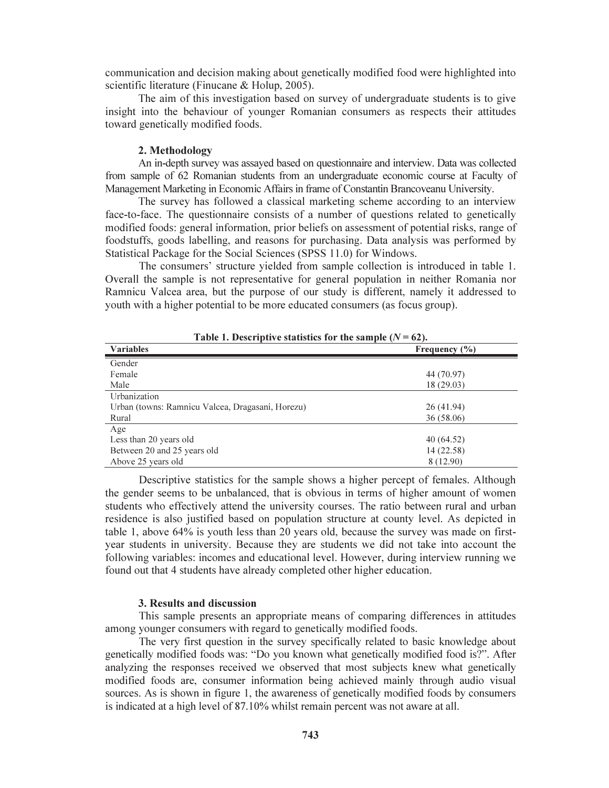communication and decision making about genetically modified food were highlighted into scientific literature (Finucane & Holup, 2005).

The aim of this investigation based on survey of undergraduate students is to give insight into the behaviour of younger Romanian consumers as respects their attitudes toward genetically modified foods.

### 2. Methodology

An in-depth survey was assayed based on questionnaire and interview. Data was collected from sample of 62 Romanian students from an undergraduate economic course at Faculty of Management Marketing in Economic Affairs in frame of Constantin Brancoveanu University.

The survey has followed a classical marketing scheme according to an interview face-to-face. The questionnaire consists of a number of questions related to genetically modified foods: general information, prior beliefs on assessment of potential risks, range of foodstuffs, goods labelling, and reasons for purchasing. Data analysis was performed by Statistical Package for the Social Sciences (SPSS 11.0) for Windows.

The consumers' structure yielded from sample collection is introduced in table 1. Overall the sample is not representative for general population in neither Romania nor Ramnicu Valcea area, but the purpose of our study is different, namely it addressed to youth with a higher potential to be more educated consumers (as focus group).

| Table 1. Descriptive statistics for the sample $(N = 62)$ . |                   |
|-------------------------------------------------------------|-------------------|
| <b>Variables</b>                                            | Frequency $(\% )$ |
| Gender                                                      |                   |
| Female                                                      | 44 (70.97)        |
| Male                                                        | 18(29.03)         |
| Urbanization                                                |                   |
| Urban (towns: Ramnicu Valcea, Dragasani, Horezu)            | 26(41.94)         |
| Rural                                                       | 36(58.06)         |
| Age                                                         |                   |
| Less than 20 years old                                      | 40 (64.52)        |
| Between 20 and 25 years old                                 | 14 (22.58)        |
| Above 25 years old                                          | 8 (12.90)         |

Table 1. Descriptive statistics for the sample  $(N = 62)$ .

Descriptive statistics for the sample shows a higher percept of females. Although the gender seems to be unbalanced, that is obvious in terms of higher amount of women students who effectively attend the university courses. The ratio between rural and urban residence is also justified based on population structure at county level. As depicted in table 1, above 64% is youth less than 20 years old, because the survey was made on firstyear students in university. Because they are students we did not take into account the following variables: incomes and educational level. However, during interview running we found out that 4 students have already completed other higher education.

#### 3. Results and discussion

This sample presents an appropriate means of comparing differences in attitudes among younger consumers with regard to genetically modified foods.

The very first question in the survey specifically related to basic knowledge about genetically modified foods was: "Do you known what genetically modified food is?". After analyzing the responses received we observed that most subjects knew what genetically modified foods are, consumer information being achieved mainly through audio visual sources. As is shown in figure 1, the awareness of genetically modified foods by consumers is indicated at a high level of 87.10% whilst remain percent was not aware at all.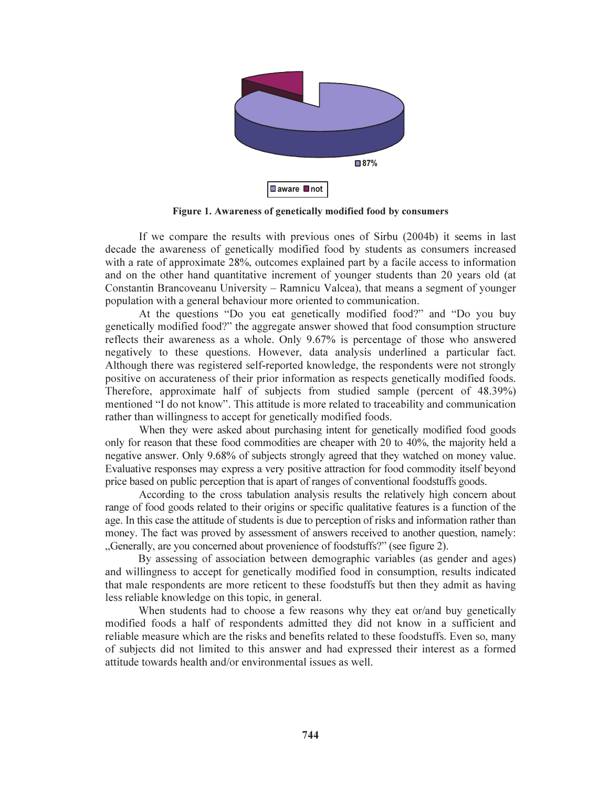

Figure 1. Awareness of genetically modified food by consumers

If we compare the results with previous ones of Sirbu (2004b) it seems in last decade the awareness of genetically modified food by students as consumers increased with a rate of approximate 28%, outcomes explained part by a facile access to information and on the other hand quantitative increment of younger students than 20 years old (at Constantin Brancoveanu University – Ramnicu Valcea), that means a segment of younger population with a general behaviour more oriented to communication.

At the questions "Do you eat genetically modified food?" and "Do you buy genetically modified food?" the aggregate answer showed that food consumption structure reflects their awareness as a whole. Only 9.67% is percentage of those who answered negatively to these questions. However, data analysis underlined a particular fact. Although there was registered self-reported knowledge, the respondents were not strongly positive on accurateness of their prior information as respects genetically modified foods. Therefore, approximate half of subjects from studied sample (percent of 48.39%) mentioned "I do not know". This attitude is more related to traceability and communication rather than willingness to accept for genetically modified foods.

When they were asked about purchasing intent for genetically modified food goods only for reason that these food commodities are cheaper with 20 to 40%, the majority held a negative answer. Only 9.68% of subjects strongly agreed that they watched on money value. Evaluative responses may express a very positive attraction for food commodity itself beyond price based on public perception that is apart of ranges of conventional foodstuffs goods.

According to the cross tabulation analysis results the relatively high concern about range of food goods related to their origins or specific qualitative features is a function of the age. In this case the attitude of students is due to perception of risks and information rather than money. The fact was proved by assessment of answers received to another question, namely: "Generally, are you concerned about provenience of foodstuffs?" (see figure 2).

By assessing of association between demographic variables (as gender and ages) and willingness to accept for genetically modified food in consumption, results indicated that male respondents are more reticent to these foodstuffs but then they admit as having less reliable knowledge on this topic, in general.

When students had to choose a few reasons why they eat or/and buy genetically modified foods a half of respondents admitted they did not know in a sufficient and reliable measure which are the risks and benefits related to these foodstuffs. Even so, many of subjects did not limited to this answer and had expressed their interest as a formed attitude towards health and/or environmental issues as well.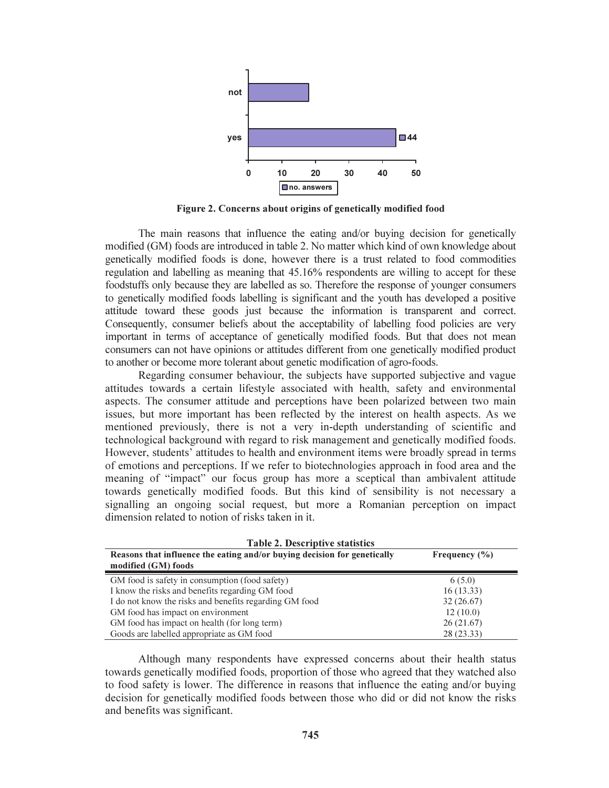

Figure 2. Concerns about origins of genetically modified food

The main reasons that influence the eating and/or buying decision for genetically modified (GM) foods are introduced in table 2. No matter which kind of own knowledge about genetically modified foods is done, however there is a trust related to food commodities regulation and labelling as meaning that 45.16% respondents are willing to accept for these foodstuffs only because they are labelled as so. Therefore the response of younger consumers to genetically modified foods labelling is significant and the youth has developed a positive attitude toward these goods just because the information is transparent and correct. Consequently, consumer beliefs about the acceptability of labelling food policies are very important in terms of acceptance of genetically modified foods. But that does not mean consumers can not have opinions or attitudes different from one genetically modified product to another or become more tolerant about genetic modification of agro-foods.

Regarding consumer behaviour, the subjects have supported subjective and vague attitudes towards a certain lifestyle associated with health, safety and environmental aspects. The consumer attitude and perceptions have been polarized between two main issues, but more important has been reflected by the interest on health aspects. As we mentioned previously, there is not a very in-depth understanding of scientific and technological background with regard to risk management and genetically modified foods. However, students' attitudes to health and environment items were broadly spread in terms of emotions and perceptions. If we refer to biotechnologies approach in food area and the meaning of "impact" our focus group has more a sceptical than ambivalent attitude towards genetically modified foods. But this kind of sensibility is not necessary a signalling an ongoing social request, but more a Romanian perception on impact dimension related to notion of risks taken in it.

| <b>Table 2. Descriptive statistics</b>                                   |                   |  |
|--------------------------------------------------------------------------|-------------------|--|
| Reasons that influence the eating and/or buying decision for genetically | Frequency $(\% )$ |  |
| modified (GM) foods                                                      |                   |  |
| GM food is safety in consumption (food safety)                           | 6(5.0)            |  |
| I know the risks and benefits regarding GM food                          | 16(13.33)         |  |
| I do not know the risks and benefits regarding GM food                   | 32(26.67)         |  |
| GM food has impact on environment                                        | 12(10.0)          |  |
| GM food has impact on health (for long term)                             | 26(21.67)         |  |
| Goods are labelled appropriate as GM food                                | 28(23.33)         |  |

Although many respondents have expressed concerns about their health status towards genetically modified foods, proportion of those who agreed that they watched also to food safety is lower. The difference in reasons that influence the eating and/or buying decision for genetically modified foods between those who did or did not know the risks and benefits was significant.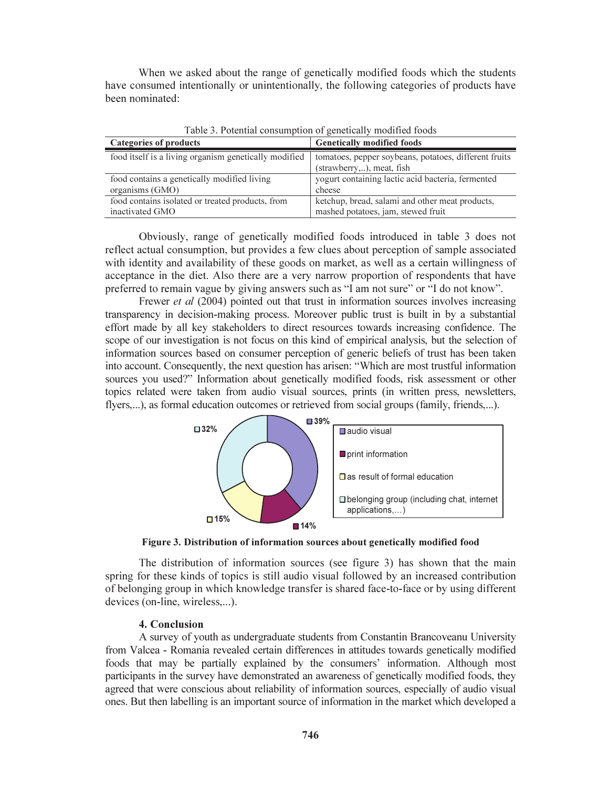When we asked about the range of genetically modified foods which the students have consumed intentionally or unintentionally, the following categories of products have been nominated:

| Categories of products                                | <b>Genetically modified foods</b>                                                  |
|-------------------------------------------------------|------------------------------------------------------------------------------------|
| food itself is a living organism genetically modified | tomatoes, pepper soybeans, potatoes, different fruits<br>(strawberry,), meat, fish |
| food contains a genetically modified living           | yogurt containing lactic acid bacteria, fermented                                  |
| organisms (GMO)                                       | cheese                                                                             |
| food contains isolated or treated products, from      | ketchup, bread, salami and other meat products,                                    |
| inactivated GMO                                       | mashed potatoes, jam, stewed fruit                                                 |

Table 3. Potential consumption of genetically modified foods

Obviously, range of genetically modified foods introduced in table 3 does not reflect actual consumption, but provides a few clues about perception of sample associated with identity and availability of these goods on market, as well as a certain willingness of acceptance in the diet. Also there are a very narrow proportion of respondents that have preferred to remain vague by giving answers such as "I am not sure" or "I do not know".

Frewer *et al* (2004) pointed out that trust in information sources involves increasing transparency in decision-making process. Moreover public trust is built in by a substantial effort made by all key stakeholders to direct resources towards increasing confidence. The scope of our investigation is not focus on this kind of empirical analysis, but the selection of information sources based on consumer perception of generic beliefs of trust has been taken into account. Consequently, the next question has arisen: "Which are most trustful information sources you used?" Information about genetically modified foods, risk assessment or other topics related were taken from audio visual sources, prints (in written press, newsletters, flyers,...), as formal education outcomes or retrieved from social groups (family, friends,...).



Figure 3. Distribution of information sources about genetically modified food

The distribution of information sources (see figure 3) has shown that the main spring for these kinds of topics is still audio visual followed by an increased contribution of belonging group in which knowledge transfer is shared face-to-face or by using different devices (on-line, wireless,...).

### 4. Conclusion

A survey of youth as undergraduate students from Constantin Brancoveanu University from Valcea - Romania revealed certain differences in attitudes towards genetically modified foods that may be partially explained by the consumers' information. Although most participants in the survey have demonstrated an awareness of genetically modified foods, they agreed that were conscious about reliability of information sources, especially of audio visual ones. But then labelling is an important source of information in the market which developed a